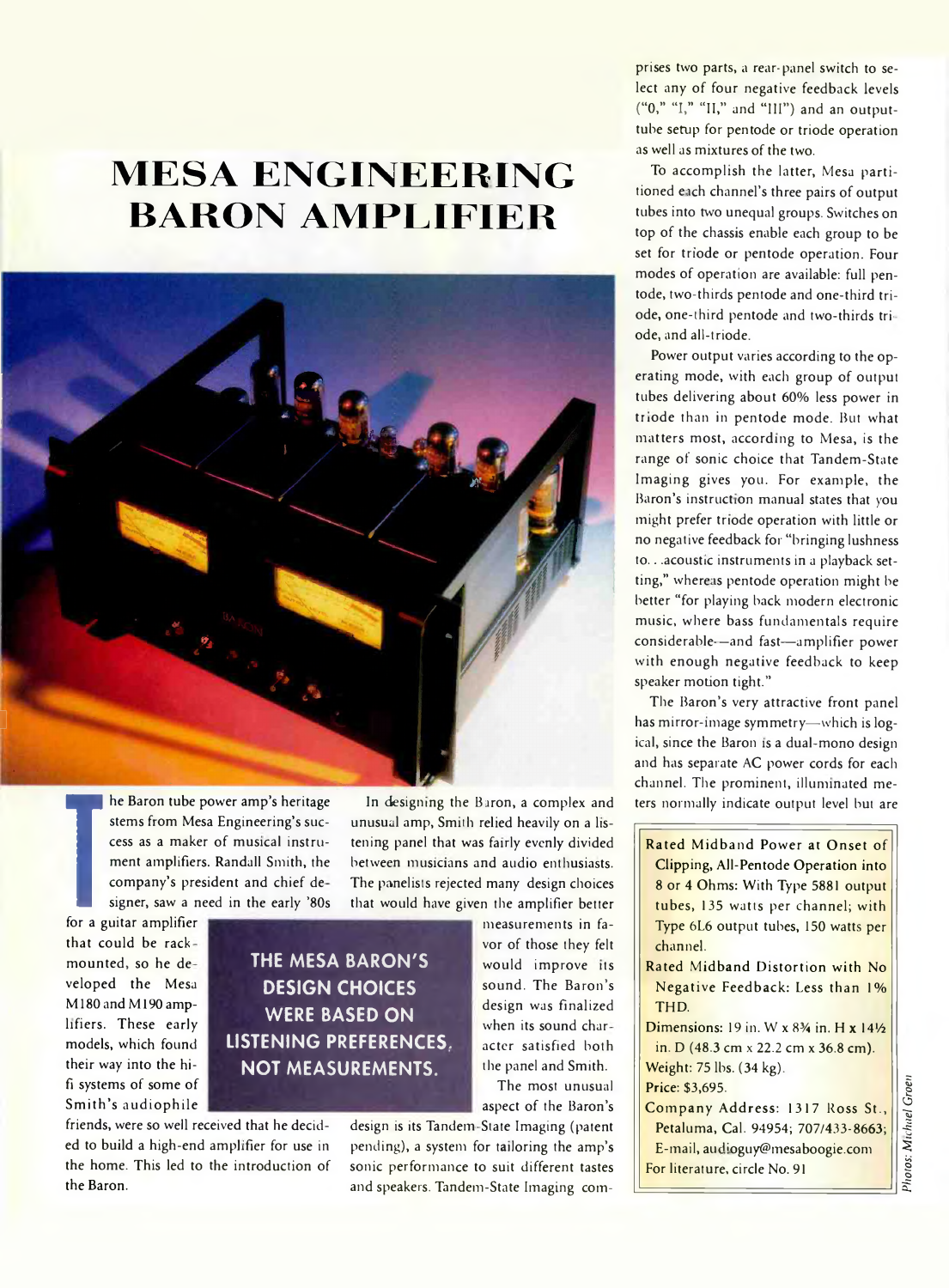# **MESA ENGINEERING BARON AMPLIFIER**



**TEP** company's providency in the signer, saw a report of the signal state of the signal state of the signal state of the signal state of the signal state of the signal state of the signal state of the signal state of the **he Baron tube power amp's heritage stems from Mesa Engineering's success as a maker of musical instrument amplifiers. Randall Smith, the company's president and chief de signer, saw a need in the early '80s**

**that could be rack mounted, so he de veloped the Mesa M 180andM 190 amplifiers. These early models, which found their way into the hifi systems of some of Sm ith's audiophile**

## **THE MESA BARON'S DESIGN CHOICES WERE BASED ON LISTENING PREFERENCES, NOT MEASUREMENTS.**

**friends, were so well received that he decided to build a high-end amplifier for use in the home. This led to the introduction of the Baron.**

**In designing the Baron, a complex and unusual amp, Smith relied heavily on a listening panel that was fairly evenly divided between musicians and audio enthusiasts. The panelists rejected many design choices that would have given the amplifier better measurements in fa-**

**vor of those they felt would improve its sound. The Baron's design was finalized when its sound char acter satisfied both the panel and Smith.**

**The most unusual aspect of the Baron's**

**design is its Tandem State Imaging (patent pending), a system for tailoring the amp's sonic performance to suit different tastes and speakers. Tandem-State Imaging com-**

**prises two parts, a rear-panel switch to select any of four negative feedback levels ("0," "I," "II," and "III") and an outputtube setup for pentode or triode operation as well as mixtures of the two.**

**To accomplish the latter, Mesa partitioned eich channel's three pairs of output tubes into two unequal groups. Switches on top of the chassis enable each group to be set for triode or pentode operation. Four modes of operation are available: full pentode, two-thirds pentode and one-third triode, one-third pentode and two-thirds triode, and all-triode.**

**Power output varies according to the operating mode, with each group of output tubes delivering about 60% less power in triode than in pentode mode. But what matters most, according to Mesa, is the range of sonic choice that Tandem-State Imaging gives you. For example, the Baron's instruction manual states that you might prefer triode operation with little or no negative feedback for "bringing lushness to .. .acoustic instruments in a playback set**ting," whereas pentode operation might be **better "for playing back modern electronic music, where bass fundamentals require considerable-—and fast— amplifier power with enough negative feedback to keep speaker motion tight."**

**The Baron's very attractive front panel has mirror-image symmetry— which is logical, since the Baron is a dual-mono design and has separate AC power cords for each channel. The prominent, illuminated meters normally indicate output level but are**

**Rated Midband Power at Onset of Clipping, All-Pentode Operation into 8 or 4 Ohms: With Type 5881 output tubes, 135 watts per channel; with Type 6L6 output tubes, 150 watts per channel.**

- **Rated Midband Distortion with No. Negative Feedback: Less than 1% THD.**
- **Dimensions:** 19 in. W x 8<sup>3</sup>/<sub>4</sub> in. H x 14<sup>1</sup>/<sub>2</sub> **in. D (48.3 cm** x **22.2 cm x 36.8 cm). Weight: 75 lbs. (34 kg).**

**Price: \$3,695.**

**C om pany Address: 1317 Ross St., Petaluma, Cal. 94954; 707/433-8663; E-mail, au [Loguy@mesaboogie.com](mailto:Loguy@mesaboogie.com) For literature, circle No. 91**

Photos: Michael Groen *Photos: Michael Groeti*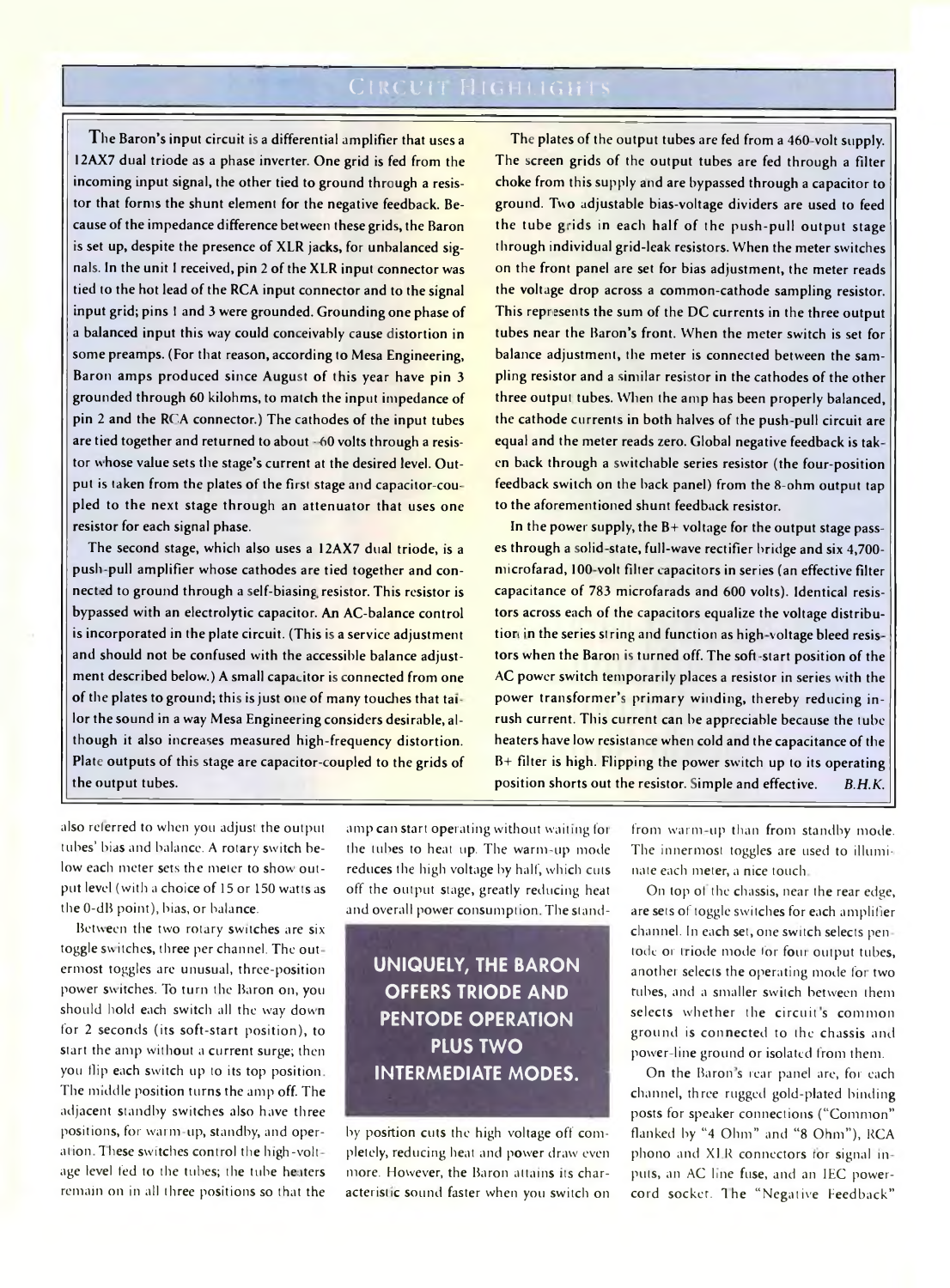**The Baron's input circuit is a differential amplifier that uses a 12AX7 dual triode as a phase inverter. One grid is fed from the incoming input signal, the other tied to ground through a resistor that forms the shunt element for the negative feedback. Because of the impedance difference between these grids, the Baron is set up, despite the presence of XLR jacks, for unbalanced signals. In the unit I received, pin 2 of the XLR input connector was tied to the hot lead of the RCA input connector and to the signal input grid; pins 1 and 3 were grounded. Grounding one phase of a balanced input this way could conceivably cause distortion in some preamps. (For that reason, according to Mesa Engineering, Baron amps produced since August of this year have pin 3 grounded through 60 kilohms, to match the input impedance of pin 2 and the RCA connector.) The cathodes of the input tubes are tied together and returned to about ■ 60 volts through a resistor w hose value sets the stage's current at the desired level. Output is taken from the plates of the first stage and capacitor-coupled to the next stage through an attenuator that uses one resistor for each signal phase.**

**The second stage, which also uses a 12AX7 dual triode, is a push pull amplifier whose cathodes are tied together and connected to ground through a self-biasing resistor. This resistor is bypassed with an electrolytic capacitor. An AC-balance control is incorporated in the plate circuit. (This is a service adjustment and should not be confused with the accessible balance adjustment described below.) A small capacitor is connected from one of the plates to ground; this is just one of many touches that ta: lor the sound in a way Mesa Engineering considers desirable, although it also increases measured high-frequency distortion. Plate outputs of this stage are capacitor-coupled to the grids of the output tubes.**

**The plates of the output tubes are fed from a 460 volt supply. The screen grids of the output tubes are fed through a filter choke from this supply and are bypassed through a capacitor to ground. Two adjustable bias-voltage dividers are used to feed** the tube grids in each half of the push-pull output stage **through individual grid-leak resistors. When the meter switches on the front panel are set for bias adjustment, the meter reads the voltage drop across a common-cathode sampling resistor. This represents the sum of the DC currents in the three output tubes near the Baron's front. When the meter switch is set for balance adjustment, the meter is connected between the sampling resistor and a similar resistor in the cathodes of the other three output tubes. When the amp has been properly balanced, the cathode currents in both halves of the push pull circuit are equal and the meter reads zero. Global negative feedback is tak en back through a switchable series resistor (the four-position feedback switch on the hack panel) from the 8-ohm output tap to the aforementioned shunt feedback resistor.**

**In the power supply, the B+ voltage for the output stage passes through a solid state, full-wave rectifier bridge and six 4,700 microfarad, 100 volt filter capacitors in series (an effective filter capacitance of 783 microfarads and 600 volts). Identical resistors across each of the capacitors equalize the voltage distribu**tion in the series string and function as high-voltage bleed resis**tors when the Baron is turned off. The soft -start position of the AC power switch temporarily places a resistor in series w'ith the power transformer's primary winding, thereby reducing inrush current. This current can he appreciable because the tube heaters have low resistance when cold and the capacitance of the B+ filter is high. Flipping the power switch up to its operating position shorts out the resistor. Simple and effective.** *B.H.K.*

**also referred to when you adjust the output tubes' bias and balance. A rotary switch below each meter sets the meter to show output level (witli a choice of 15 or 150 watts as the 0-dB point), bias, or balance.**

**Between the two rotary switches are six toggle switches, three per channel. The out ermost toggles are unusual, three-position power switches. To turn the Baron on, you** should hold each switch all the way down **for 2 seconds (its soft-start position), to start the amp without a current surge; then you flip each switch up to its top position The middle position turns the amp off. The adjacent standby switches also have three** positions, for warm-up, standby, and oper**ation These switches control the high-volt age level fed to the tubes; the tube heaters remain on in all three positions so that the**

**amp can start operating without waiting fot** the tubes to heat up. The warm-up mode **reduces the high voltage by half, which cuts off the output stage, greatly reducing heat** and overall power consumption. The stand-

## **UNIQUELY, THE BARON OFFERS TRIODE AND PENTODE OPERATION PLUS TWO INTERMEDIATE MODES.**

**by position cuts the high voltage off completely, reducing heat and power draw even more. However, the Baron attains its characteristic sound faster when you switch on** from warm-up than from standby mode. **The innermost toggles are used to illuminate each meter, a nice touch**

**On top of the chassis, near the rear edge, are sets of toggle switches for each amplifier channel. In each set, one switch selects pen tode or triode mode lor fom output tubes, another selects the operating mode fot two tubes, and a smaller switch between them** selects whether the circuit's common **ground is connected to the chassis and power line ground or isolated from them.**

**On the Baron s rear panel are, for each channel, three rugged gold-plated binding posts for speaker connections ("Common" flanked by "4 Ohm" and "8 Ohm"), RCA phono and XI R connectors ror signal in puts, an AC line fuse, and an IEC powercord socket. The "Negative feedback"**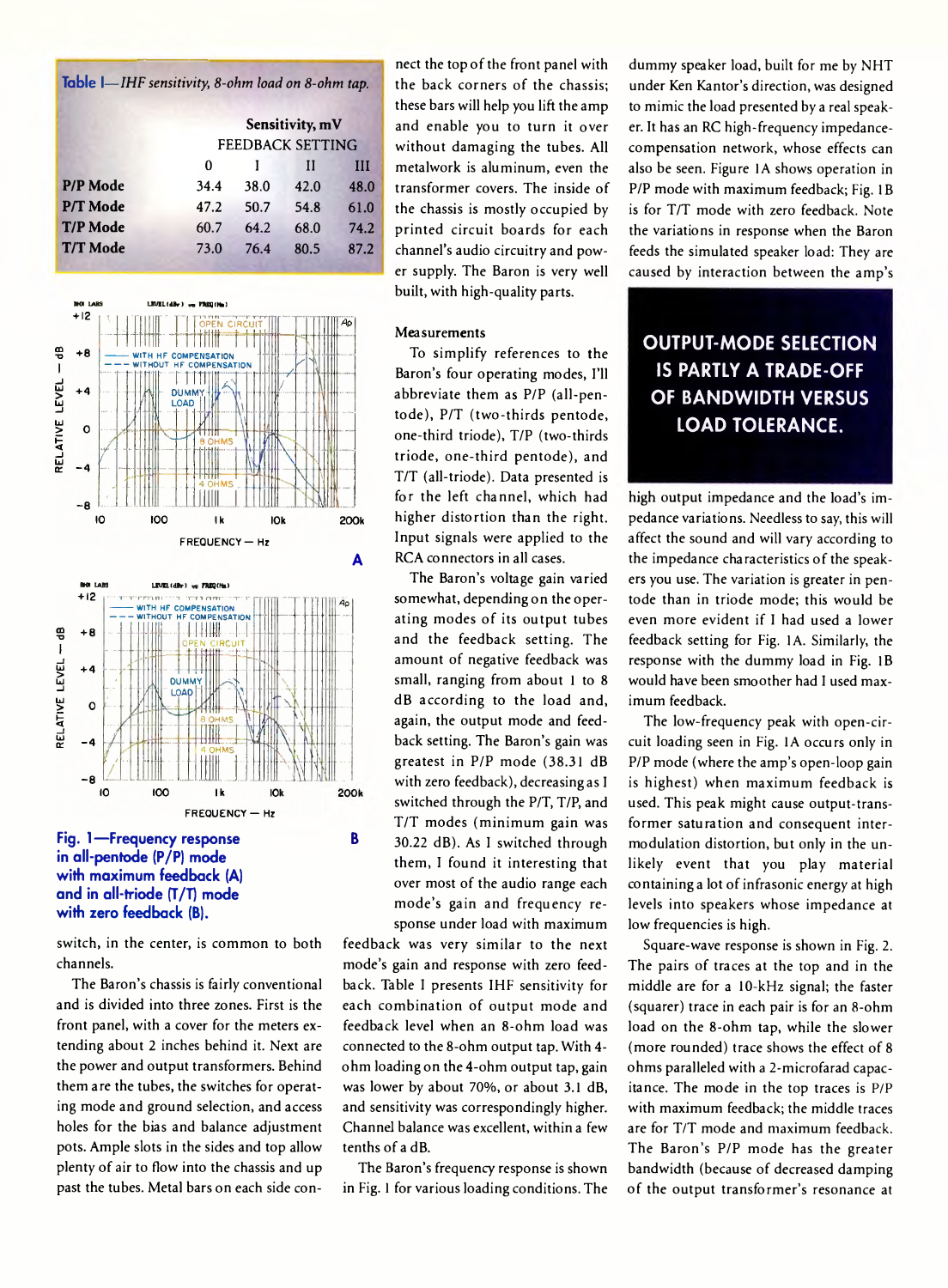| <b>lable <math>I</math></b> -IHF sensitivity, 8-ohm load on 8-ohm tap. |                  |                 |      |      |  |
|------------------------------------------------------------------------|------------------|-----------------|------|------|--|
|                                                                        |                  | Sensitivity, mV |      |      |  |
|                                                                        | FEEDBACK SETTING |                 |      |      |  |
|                                                                        | 0                |                 | Н    | Ш    |  |
| P/P Mode                                                               | 34.4             | 38.0            | 42.0 | 48.0 |  |
| P/T Mode                                                               | 47.2             | 50.7            | 54.8 | 61.0 |  |
| <b>T/P Mode</b>                                                        | 60.7             | 64.2            | 68.0 | 74.2 |  |
| <b>T/T Mode</b>                                                        | 73.0             | 76.4            | 80.5 | 87.2 |  |
|                                                                        |                  |                 |      |      |  |







**switch, in the center, is common to both channels.**

**The Baron's chassis is fairly conventional and is divided into three zones. First is the front panel, with a cover for the meters extending about 2 inches behind it. Next are the power and output transformers. Behind them are the tubes, the switches for operating mode and ground selection, and access holes for the bias and balance adjustment pots. Ample slots in the sides and top allow plenty of air to flow into the chassis and up past the tubes. Metal bars on each side con-**

**nect the top of the front panel with the back corners of the chassis; these bars will help you lift the amp and enable you to turn it over without damaging the tubes. All metalwork is aluminum, even the transformer covers. The inside of the chassis is mostly occupied by printed circuit boards for each channel's audio circuitry and power supply. The Baron is very well built, with high-quality parts.**

#### **Measurements**

**To simplify references to the Baron's four operating modes, I'll abbreviate them as P/P (all-pentode), P/T (two-thirds pentode, one-third triode), T/P (two-thirds triode, one-third pentode), and T/T (all-triode). Data presented is for the left channel, which had higher distortion than the right. Input signals were applied to the RCA connectors in all cases.**

**The Baron's voltage gain varied somewhat, depending on the operating modes of its output tubes and the feedback setting. The amount of negative feedback was small, ranging from about 1 to 8 dB according to the load and, again, the output mode and feedback setting. The Baron's gain was greatest in P/P mode (38.31 dB with zero feedback), decreasing as I switched through the P/T, T/P, and T/T modes (minimum gain was B 30.22 dB). As I switched through them, I found it interesting that over most of the audio range each m ode's gain and frequency response under load with maximum**

**feedback was very similar to the next mode's gain and response with zero feedback. Table I presents IHF sensitivity for each combination of output mode and feedback level when an 8-ohm load was connected to the 8-ohm output tap. With 4 ohm loading on the 4-ohm output tap, gain was lower by about 70%, or about 3.1 dB, and sensitivity was correspondingly higher. Channel balance was excellent, within a few tenths of a dB.**

**The Baron's frequency response is shown in Fig. 1 for various loading conditions. The** **dummy speaker load, built for me by NHT under Ken Kantor's direction, was designed to mimic the load presented by a real speaker. It has an RC high-frequency impedancecompensation network, whose effects can also be seen. Figure 1A shows operation in P/P mode with maximum feedback; Fig. IB is for T/T mode with zero feedback. Note the variations in response when the Baron feeds the simulated speaker load: They are caused by interaction between the amp's**

### **OUTPUT-MODE SELECTION IS PARTLY A TRADE-OFF OF BANDWIDTH VERSUS LOAD TOLERANCE.**

**high output impedance and the load's impedance variations. Needless to say, this will affect the sound and will vary according to the impedance characteristics of the speakers you use. The variation is greater in pentode than in triode mode; this would be even more evident if I had used a lower feedback setting for Fig. 1A. Similarly, the response with the dummy load in Fig. IB would have been smoother had I used maximum feedback.**

**The low-frequency peak with open-circuit loading seen in Fig. 1A occurs only in P/P mode (where the amp's open-loop gain is highest) when maximum feedback is used. This peak might cause output-transformer saturation and consequent intermodulation distortion, but only in the unlikely event that you play material containing a lot of infrasonic energy at high levels into speakers whose impedance at low frequencies is high.**

**Square-wave response is shown in Fig. 2. The pairs of traces at the top and in the middle are for a 10-kHz signal; the faster (squarer) trace in each pair is for an 8-ohm load on the 8-ohm tap, while the slower (more rounded) trace shows the effect of 8 ohms paralleled with a 2-microfarad capacitance. The mode in the top traces is P/P with maximum feedback; the middle traces are for T/T mode and maximum feedback. The Baron's P/P mode has the greater bandwidth (because of decreased damping of the output transformer's resonance at**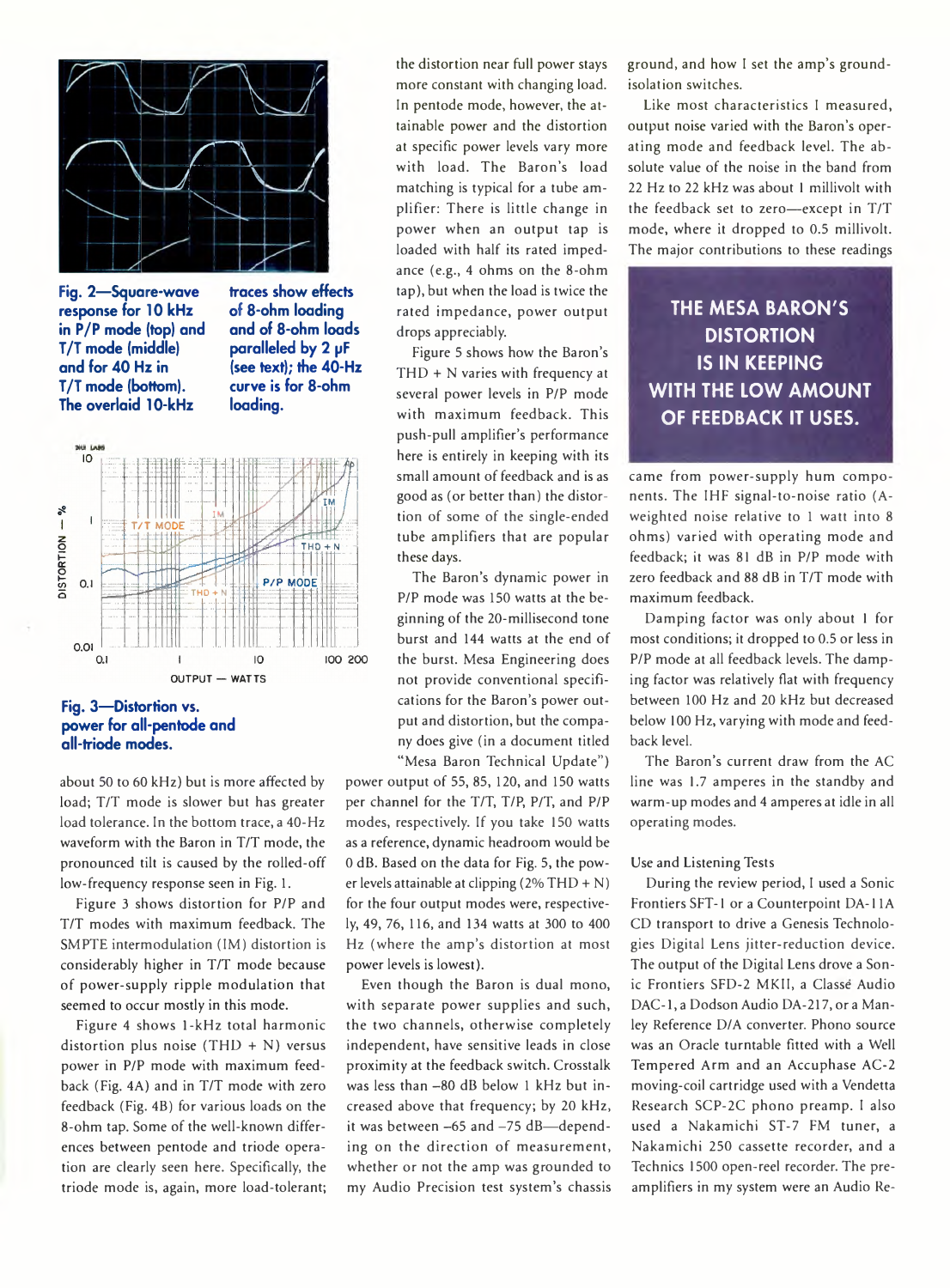

**Fig. 2— Square-wave response for 10 kHz in P/P mode (top) and T/T mode (middle) and for 40 Hz in T/T mode (bottom). The overlaid 10-kHz**

**of 8-ohm loading and of 8-ohm loads paralleled by 2 pF (see text); the 40-Hz curve is for 8-ohm loading.**



### **Fig. 3— Distortion vs. power for all-pentode and all-triode modes.**

**about 50 to 60 kHz) but is more affected by load; T/T mode is slower but has greater load tolerance. In the bottom trace, a 40-Hz waveform with the Baron in T/T mode, the pronounced tilt is caused by the rolled-off low-frequency response seen in Fig. 1.**

**Figure 3 shows distortion for P/P and T/T modes with maximum feedback. The SMPTE intermodulation (IM) distortion is considerably higher in T/T mode because of power-supply ripple modulation that seemed to occur mostly in this mode.**

**Figure 4 shows 1-kHz total harmonic distortion plus noise (THD + N) versus power in P/P mode with maximum feedback (Fig. 4A) and in T/T mode with zero feedback (Fig. 4B) for various loads on the 8-ohm tap. Some of the well-known differences between pentode and triode operation are clearly seen here. Specifically, the triode mode is, again, more load-tolerant;**

**the distortion near full power stays more constant with changing load. In pentode mode, however, the attainable power and the distortion at specific power levels vary more with load. The Baron's load matching is typical for a tube amplifier; There is little change in power when an output tap is loaded with half its rated impedance (e.g., 4 ohms on the 8-ohm tap), but when the load is twice the rated impedance, power output drops appreciably.**

**Figure 5 shows how the Baron's THD + N varies with frequency at several power levels in P/P mode with maximum feedback. This push-pull amplifier's performance here is entirely in keeping with its small amount of feedback and is as good as (or better than) the distortion of some of the single-ended tube amplifiers that are popular these days.**

**The Baron's dynamic power in P/P mode was 150 watts at the beginning of the 20-millisecond tone burst and 144 watts at the end of the burst. Mesa Engineering does not provide conventional specifications for the Baron's power output and distortion, but the company does give (in a document titled "Mesa Baron Technical Update")**

**power output of 55, 85, 120, and 150 watts per channel for the T/T, T/P, P/T, and P/P modes, respectively. If you take 150 watts as a reference, dynamic headroom would be 0 dB. Based on the data for Fig. 5, the power levels attainable at clipping (2% THD + N) for the four output modes were, respectively, 49, 76, 116, and 134 watts at 300 to 400 Hz (where the amp's distortion at most power levels is lowest).**

**Even though the Baron is dual mono, with separate power supplies and such, the two channels, otherwise completely independent, have sensitive leads in close proximity at the feedback switch. Crosstalk** was less than -80 dB below 1 kHz but in**creased above that frequency; by 20 kHz,** it was between -65 and -75 dB-depend**ing on the direction of measurement, whether or not the amp was grounded to my Audio Precision test system's chassis** **ground, and how I set the amp's groundisolation switches.**

**Like most characteristics I measured, output noise varied with the Baron's operating mode and feedback level. The absolute value of the noise in the band from 22 Hz to 22 kHz was about 1 millivolt with the feedback set to zero— except in T/T mode, where it dropped to 0.5 millivolt. The major contributions to these readings**

**THE MESA BARON'S DISTORTION IS IN KEEPING WITH THE LOW AMOUNT OF FEEDBACK IT USES.**

came from power-supply hum compo**nents. The IHF signal-to-noise ratio (Aweighted noise relative to 1 watt into 8 ohms) varied with operating mode and feedback; it was 81 dB in P/P mode with zero feedback and 88 dB in T/T mode with maximum feedback.**

**Damping factor was only about 1 for most conditions; it dropped to 0.5 or less in P/P mode at all feedback levels. The damping factor was relatively flat with frequency between 100 Hz and 20 kHz but decreased below 100 Hz, varying with mode and feedback level.**

**The Baron's current draw from the AC line was 1.7 amperes in the standby and warm-up modes and 4 amperes at idle in all operating modes.**

#### **Use and Listening Tests**

**During the review period, I used a Sonic Frontiers SFT-1 or a Counterpoint DA-11A CD transport to drive a Genesis Technologies Digital Lens jitter-reduction device. The output of the Digital Lens drove a Sonic Frontiers SFD-2 MKII, a Classe Audio** DAC-1, a Dodson Audio DA-217, or a Man**ley Reference D/A converter. Phono source was an Oracle turntable fitted with a Well Tempered Arm and an Accuphase AC-2 moving-coil cartridge used with a Vendetta Research SCP-2C phono preamp. I also used a Nakamichi ST-7 FM tuner, a Nakamichi 250 cassette recorder, and a Technics 1500 open-reel recorder. The preamplifiers in my system were an Audio Re-**